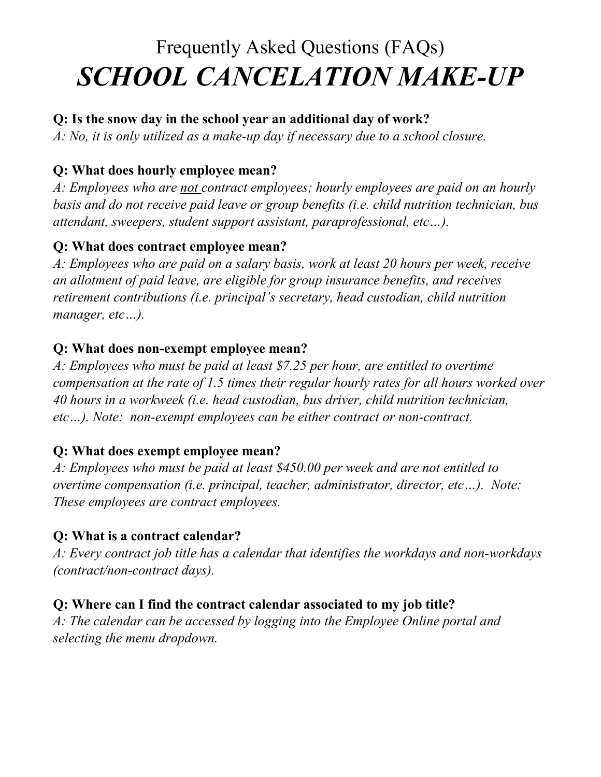# Frequently Asked Questions (FAQs) *SCHOOL CANCELATION MAKE-UP*

## **Q: Is the snow day in the school year an additional day of work?**

*A: No, it is only utilized as a make-up day if necessary due to a school closure.*

# **Q: What does hourly employee mean?**

*A: Employees who are not contract employees; hourly employees are paid on an hourly basis and do not receive paid leave or group benefits (i.e. child nutrition technician, bus attendant, sweepers, student support assistant, paraprofessional, etc…).*

## **Q: What does contract employee mean?**

*A: Employees who are paid on a salary basis, work at least 20 hours per week, receive an allotment of paid leave, are eligible for group insurance benefits, and receives retirement contributions (i.e. principal's secretary, head custodian, child nutrition manager, etc…).*

#### **Q: What does non-exempt employee mean?**

*A: Employees who must be paid at least \$7.25 per hour, are entitled to overtime compensation at the rate of 1.5 times their regular hourly rates for all hours worked over 40 hours in a workweek (i.e. head custodian, bus driver, child nutrition technician, etc…). Note: non-exempt employees can be either contract or non-contract.*

#### **Q: What does exempt employee mean?**

*A: Employees who must be paid at least \$450.00 per week and are not entitled to overtime compensation (i.e. principal, teacher, administrator, director, etc…). Note: These employees are contract employees.*

# **Q: What is a contract calendar?**

*A: Every contract job title has a calendar that identifies the workdays and non-workdays (contract/non-contract days).*

# **Q: Where can I find the contract calendar associated to my job title?**

*A: The calendar can be accessed by logging into the Employee Online portal and selecting the menu dropdown.*